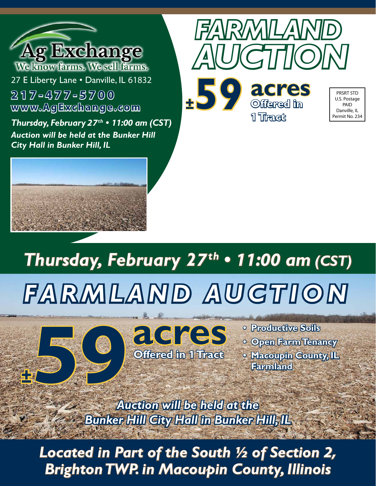

**www.AgExchange.com 217-477-5700**

*Thursday, February 27th • 11:00 am (CST) Auction will be held at the Bunker Hill City Hall in Bunker Hill, IL*





**±59 acres Offered in 1 Tract**

PRSRT STD U.S. Postage PAID Danville, IL Permit No. 234

# *Thursday, February 27th • 11:00 am (CST) FARMLAND AUCTION*



**• Productive Soils • Open Farm Tenancy • Macoupin County, IL Farmland**

*Auction will be held at the Bunker Hill City Hall in Bunker Hill, IL*

*Brighton TWP. in Macoupin County, Illinois Located in Part of the South ½ of Section 2,*